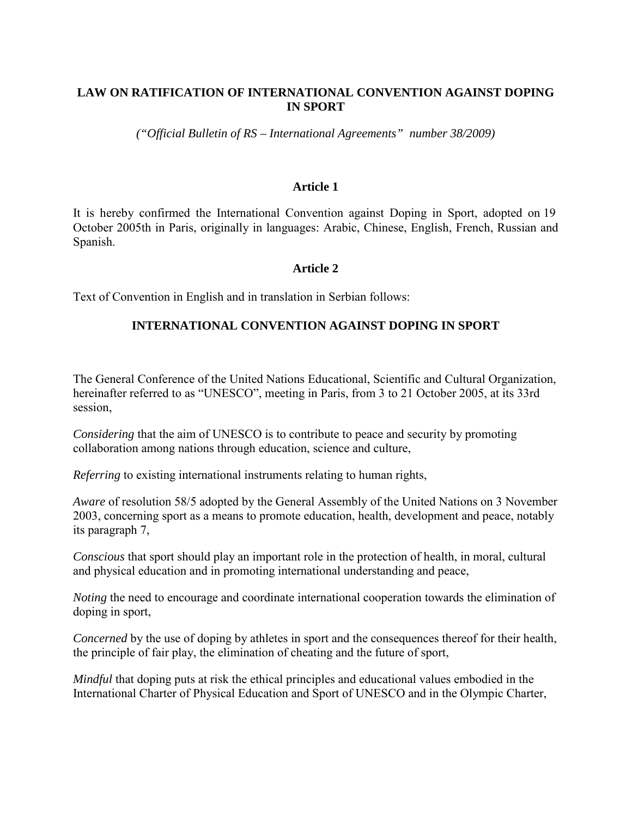### **LAW ON RATIFICATION OF INTERNATIONAL CONVENTION AGAINST DOPING IN SPORT**

*("Official Bulletin of RS – International Agreements" number 38/2009)* 

#### **Article 1**

It is hereby confirmed the International Convention against Doping in Sport, adopted on 19 October 2005th in Paris, originally in languages: Arabic, Chinese, English, French, Russian and Spanish.

### **Article 2**

Text of Convention in English and in translation in Serbian follows:

### **INTERNATIONAL CONVENTION AGAINST DOPING IN SPORT**

The General Conference of the United Nations Educational, Scientific and Cultural Organization, hereinafter referred to as "UNESCO", meeting in Paris, from 3 to 21 October 2005, at its 33rd session,

*Considering* that the aim of UNESCO is to contribute to peace and security by promoting collaboration among nations through education, science and culture,

*Referring* to existing international instruments relating to human rights,

*Aware* of resolution 58/5 adopted by the General Assembly of the United Nations on 3 November 2003, concerning sport as a means to promote education, health, development and peace, notably its paragraph 7,

*Conscious* that sport should play an important role in the protection of health, in moral, cultural and physical education and in promoting international understanding and peace,

*Noting* the need to encourage and coordinate international cooperation towards the elimination of doping in sport,

*Concerned* by the use of doping by athletes in sport and the consequences thereof for their health, the principle of fair play, the elimination of cheating and the future of sport,

*Mindful* that doping puts at risk the ethical principles and educational values embodied in the International Charter of Physical Education and Sport of UNESCO and in the Olympic Charter,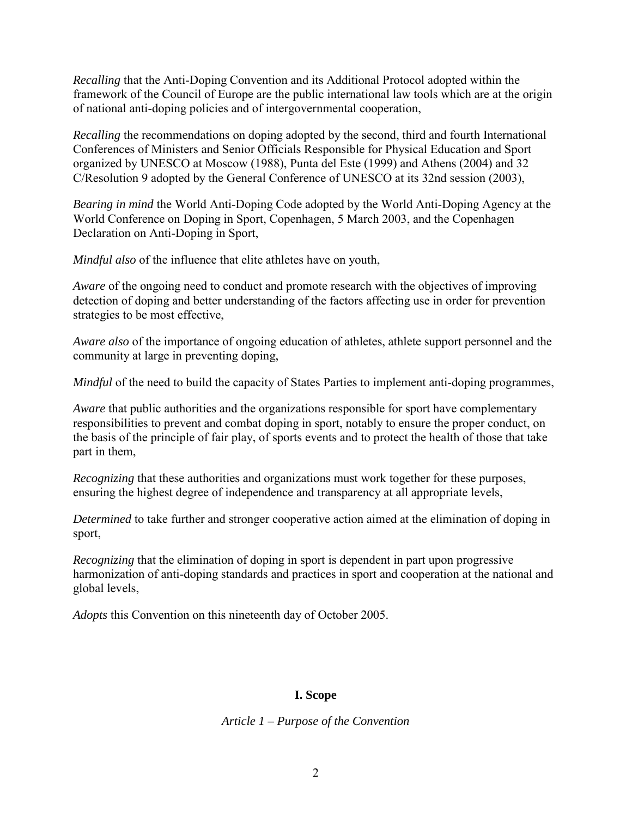*Recalling* that the Anti-Doping Convention and its Additional Protocol adopted within the framework of the Council of Europe are the public international law tools which are at the origin of national anti-doping policies and of intergovernmental cooperation,

*Recalling* the recommendations on doping adopted by the second, third and fourth International Conferences of Ministers and Senior Officials Responsible for Physical Education and Sport organized by UNESCO at Moscow (1988), Punta del Este (1999) and Athens (2004) and 32 C/Resolution 9 adopted by the General Conference of UNESCO at its 32nd session (2003),

*Bearing in mind* the World Anti-Doping Code adopted by the World Anti-Doping Agency at the World Conference on Doping in Sport, Copenhagen, 5 March 2003, and the Copenhagen Declaration on Anti-Doping in Sport,

*Mindful also* of the influence that elite athletes have on youth,

*Aware* of the ongoing need to conduct and promote research with the objectives of improving detection of doping and better understanding of the factors affecting use in order for prevention strategies to be most effective,

*Aware also* of the importance of ongoing education of athletes, athlete support personnel and the community at large in preventing doping,

*Mindful* of the need to build the capacity of States Parties to implement anti-doping programmes,

*Aware* that public authorities and the organizations responsible for sport have complementary responsibilities to prevent and combat doping in sport, notably to ensure the proper conduct, on the basis of the principle of fair play, of sports events and to protect the health of those that take part in them,

*Recognizing* that these authorities and organizations must work together for these purposes, ensuring the highest degree of independence and transparency at all appropriate levels,

*Determined* to take further and stronger cooperative action aimed at the elimination of doping in sport,

*Recognizing* that the elimination of doping in sport is dependent in part upon progressive harmonization of anti-doping standards and practices in sport and cooperation at the national and global levels,

*Adopts* this Convention on this nineteenth day of October 2005.

## **I. Scope**

### *Article 1 – Purpose of the Convention*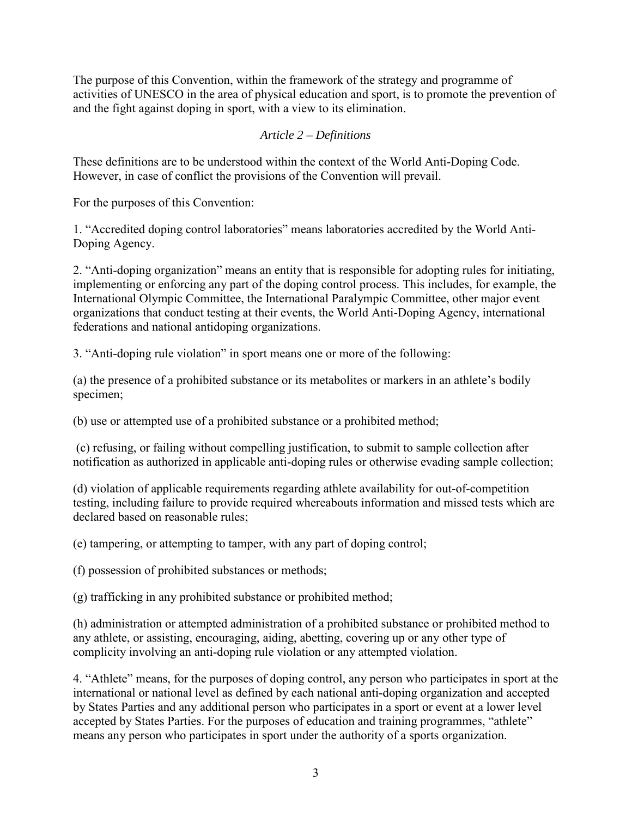The purpose of this Convention, within the framework of the strategy and programme of activities of UNESCO in the area of physical education and sport, is to promote the prevention of and the fight against doping in sport, with a view to its elimination.

### *Article 2 – Definitions*

These definitions are to be understood within the context of the World Anti-Doping Code. However, in case of conflict the provisions of the Convention will prevail.

For the purposes of this Convention:

1. "Accredited doping control laboratories" means laboratories accredited by the World Anti-Doping Agency.

2. "Anti-doping organization" means an entity that is responsible for adopting rules for initiating, implementing or enforcing any part of the doping control process. This includes, for example, the International Olympic Committee, the International Paralympic Committee, other major event organizations that conduct testing at their events, the World Anti-Doping Agency, international federations and national antidoping organizations.

3. "Anti-doping rule violation" in sport means one or more of the following:

(a) the presence of a prohibited substance or its metabolites or markers in an athlete's bodily specimen;

(b) use or attempted use of a prohibited substance or a prohibited method;

(c) refusing, or failing without compelling justification, to submit to sample collection after notification as authorized in applicable anti-doping rules or otherwise evading sample collection;

(d) violation of applicable requirements regarding athlete availability for out-of-competition testing, including failure to provide required whereabouts information and missed tests which are declared based on reasonable rules;

(e) tampering, or attempting to tamper, with any part of doping control;

(f) possession of prohibited substances or methods;

(g) trafficking in any prohibited substance or prohibited method;

(h) administration or attempted administration of a prohibited substance or prohibited method to any athlete, or assisting, encouraging, aiding, abetting, covering up or any other type of complicity involving an anti-doping rule violation or any attempted violation.

4. "Athlete" means, for the purposes of doping control, any person who participates in sport at the international or national level as defined by each national anti-doping organization and accepted by States Parties and any additional person who participates in a sport or event at a lower level accepted by States Parties. For the purposes of education and training programmes, "athlete" means any person who participates in sport under the authority of a sports organization.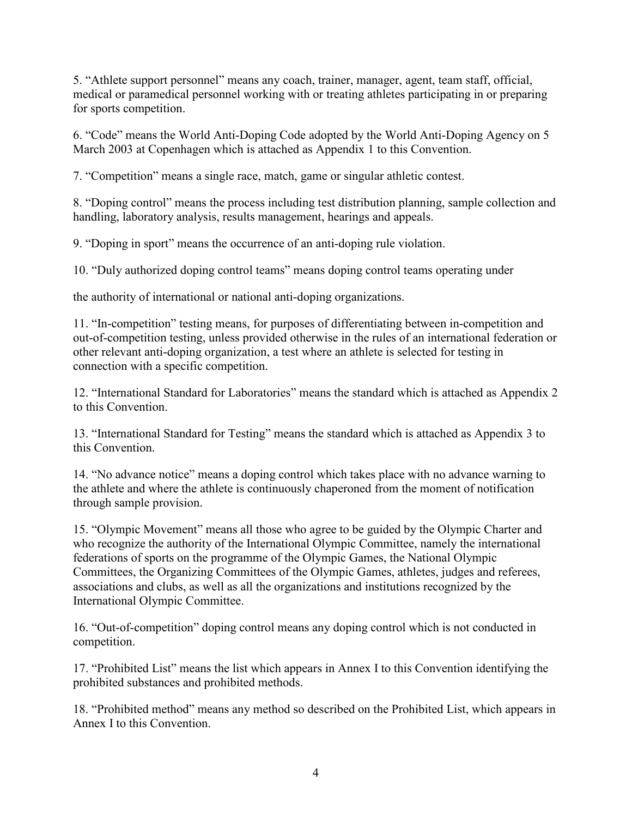5. "Athlete support personnel" means any coach, trainer, manager, agent, team staff, official, medical or paramedical personnel working with or treating athletes participating in or preparing for sports competition.

6. "Code" means the World Anti-Doping Code adopted by the World Anti-Doping Agency on 5 March 2003 at Copenhagen which is attached as Appendix 1 to this Convention.

7. "Competition" means a single race, match, game or singular athletic contest.

8. "Doping control" means the process including test distribution planning, sample collection and handling, laboratory analysis, results management, hearings and appeals.

9. "Doping in sport" means the occurrence of an anti-doping rule violation.

10. "Duly authorized doping control teams" means doping control teams operating under

the authority of international or national anti-doping organizations.

11. "In-competition" testing means, for purposes of differentiating between in-competition and out-of-competition testing, unless provided otherwise in the rules of an international federation or other relevant anti-doping organization, a test where an athlete is selected for testing in connection with a specific competition.

12. "International Standard for Laboratories" means the standard which is attached as Appendix 2 to this Convention.

13. "International Standard for Testing" means the standard which is attached as Appendix 3 to this Convention.

14. "No advance notice" means a doping control which takes place with no advance warning to the athlete and where the athlete is continuously chaperoned from the moment of notification through sample provision.

15. "Olympic Movement" means all those who agree to be guided by the Olympic Charter and who recognize the authority of the International Olympic Committee, namely the international federations of sports on the programme of the Olympic Games, the National Olympic Committees, the Organizing Committees of the Olympic Games, athletes, judges and referees, associations and clubs, as well as all the organizations and institutions recognized by the International Olympic Committee.

16. "Out-of-competition" doping control means any doping control which is not conducted in competition.

17. "Prohibited List" means the list which appears in Annex I to this Convention identifying the prohibited substances and prohibited methods.

18. "Prohibited method" means any method so described on the Prohibited List, which appears in Annex I to this Convention.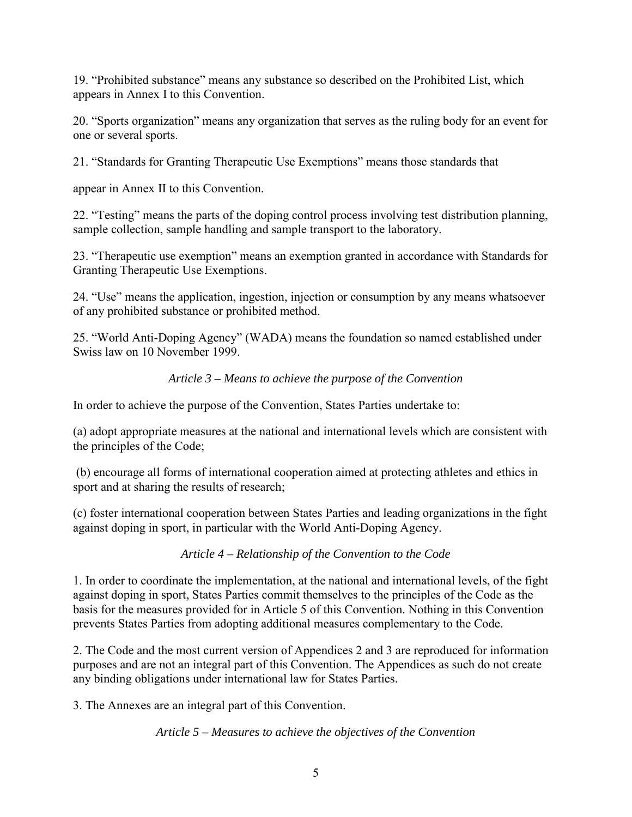19. "Prohibited substance" means any substance so described on the Prohibited List, which appears in Annex I to this Convention.

20. "Sports organization" means any organization that serves as the ruling body for an event for one or several sports.

21. "Standards for Granting Therapeutic Use Exemptions" means those standards that

appear in Annex II to this Convention.

22. "Testing" means the parts of the doping control process involving test distribution planning, sample collection, sample handling and sample transport to the laboratory.

23. "Therapeutic use exemption" means an exemption granted in accordance with Standards for Granting Therapeutic Use Exemptions.

24. "Use" means the application, ingestion, injection or consumption by any means whatsoever of any prohibited substance or prohibited method.

25. "World Anti-Doping Agency" (WADA) means the foundation so named established under Swiss law on 10 November 1999.

*Article 3 – Means to achieve the purpose of the Convention* 

In order to achieve the purpose of the Convention, States Parties undertake to:

(a) adopt appropriate measures at the national and international levels which are consistent with the principles of the Code;

(b) encourage all forms of international cooperation aimed at protecting athletes and ethics in sport and at sharing the results of research;

(c) foster international cooperation between States Parties and leading organizations in the fight against doping in sport, in particular with the World Anti-Doping Agency.

*Article 4 – Relationship of the Convention to the Code* 

1. In order to coordinate the implementation, at the national and international levels, of the fight against doping in sport, States Parties commit themselves to the principles of the Code as the basis for the measures provided for in Article 5 of this Convention. Nothing in this Convention prevents States Parties from adopting additional measures complementary to the Code.

2. The Code and the most current version of Appendices 2 and 3 are reproduced for information purposes and are not an integral part of this Convention. The Appendices as such do not create any binding obligations under international law for States Parties.

3. The Annexes are an integral part of this Convention.

*Article 5 – Measures to achieve the objectives of the Convention*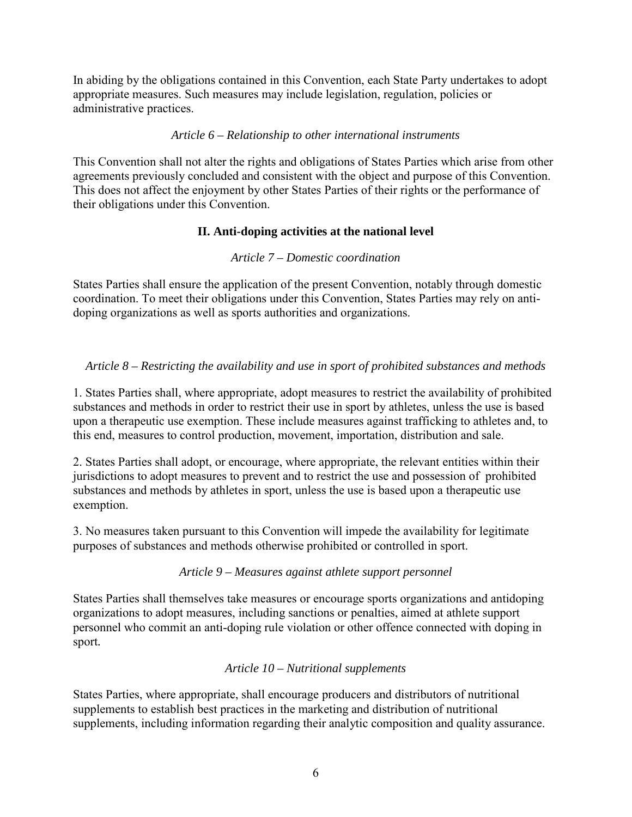In abiding by the obligations contained in this Convention, each State Party undertakes to adopt appropriate measures. Such measures may include legislation, regulation, policies or administrative practices.

### *Article 6 – Relationship to other international instruments*

This Convention shall not alter the rights and obligations of States Parties which arise from other agreements previously concluded and consistent with the object and purpose of this Convention. This does not affect the enjoyment by other States Parties of their rights or the performance of their obligations under this Convention.

# **II. Anti-doping activities at the national level**

## *Article 7 – Domestic coordination*

States Parties shall ensure the application of the present Convention, notably through domestic coordination. To meet their obligations under this Convention, States Parties may rely on antidoping organizations as well as sports authorities and organizations.

# *Article 8 – Restricting the availability and use in sport of prohibited substances and methods*

1. States Parties shall, where appropriate, adopt measures to restrict the availability of prohibited substances and methods in order to restrict their use in sport by athletes, unless the use is based upon a therapeutic use exemption. These include measures against trafficking to athletes and, to this end, measures to control production, movement, importation, distribution and sale.

2. States Parties shall adopt, or encourage, where appropriate, the relevant entities within their jurisdictions to adopt measures to prevent and to restrict the use and possession of prohibited substances and methods by athletes in sport, unless the use is based upon a therapeutic use exemption.

3. No measures taken pursuant to this Convention will impede the availability for legitimate purposes of substances and methods otherwise prohibited or controlled in sport.

## *Article 9 – Measures against athlete support personnel*

States Parties shall themselves take measures or encourage sports organizations and antidoping organizations to adopt measures, including sanctions or penalties, aimed at athlete support personnel who commit an anti-doping rule violation or other offence connected with doping in sport*.* 

## *Article 10 – Nutritional supplements*

States Parties, where appropriate, shall encourage producers and distributors of nutritional supplements to establish best practices in the marketing and distribution of nutritional supplements, including information regarding their analytic composition and quality assurance.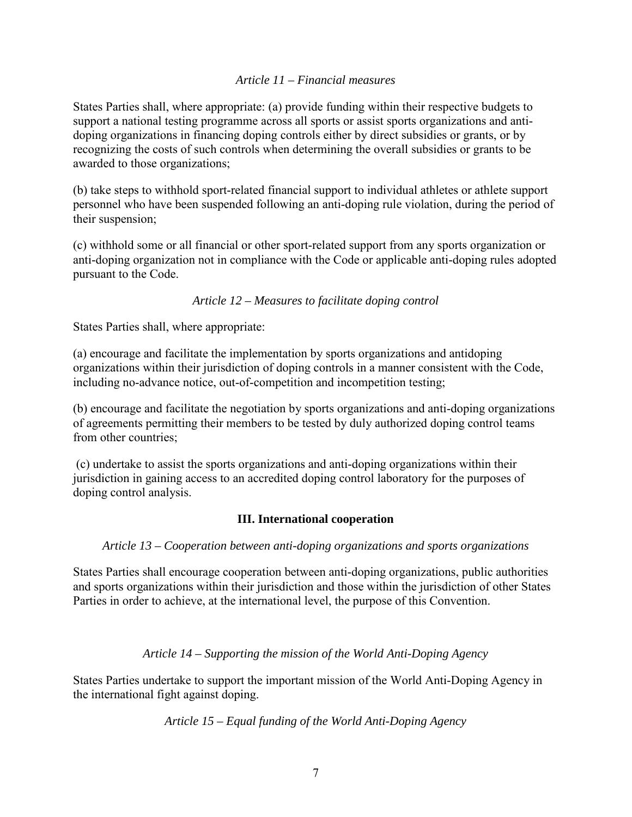### *Article 11 – Financial measures*

States Parties shall, where appropriate: (a) provide funding within their respective budgets to support a national testing programme across all sports or assist sports organizations and antidoping organizations in financing doping controls either by direct subsidies or grants, or by recognizing the costs of such controls when determining the overall subsidies or grants to be awarded to those organizations;

(b) take steps to withhold sport-related financial support to individual athletes or athlete support personnel who have been suspended following an anti-doping rule violation, during the period of their suspension;

(c) withhold some or all financial or other sport-related support from any sports organization or anti-doping organization not in compliance with the Code or applicable anti-doping rules adopted pursuant to the Code.

### *Article 12 – Measures to facilitate doping control*

States Parties shall, where appropriate:

(a) encourage and facilitate the implementation by sports organizations and antidoping organizations within their jurisdiction of doping controls in a manner consistent with the Code, including no-advance notice, out-of-competition and incompetition testing;

(b) encourage and facilitate the negotiation by sports organizations and anti-doping organizations of agreements permitting their members to be tested by duly authorized doping control teams from other countries;

 (c) undertake to assist the sports organizations and anti-doping organizations within their jurisdiction in gaining access to an accredited doping control laboratory for the purposes of doping control analysis.

#### **III. International cooperation**

#### *Article 13 – Cooperation between anti-doping organizations and sports organizations*

States Parties shall encourage cooperation between anti-doping organizations, public authorities and sports organizations within their jurisdiction and those within the jurisdiction of other States Parties in order to achieve, at the international level, the purpose of this Convention.

*Article 14 – Supporting the mission of the World Anti-Doping Agency* 

States Parties undertake to support the important mission of the World Anti-Doping Agency in the international fight against doping.

*Article 15 – Equal funding of the World Anti-Doping Agency*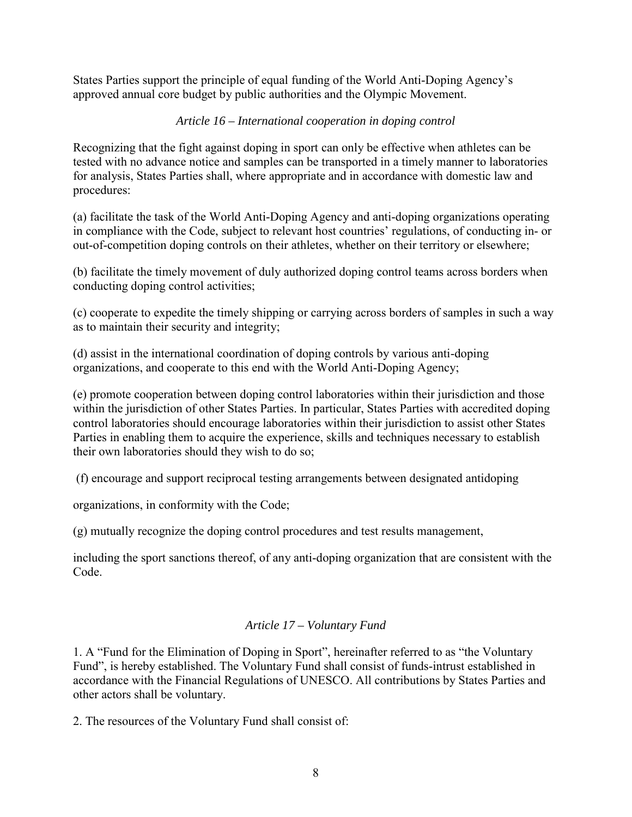States Parties support the principle of equal funding of the World Anti-Doping Agency's approved annual core budget by public authorities and the Olympic Movement.

## *Article 16 – International cooperation in doping control*

Recognizing that the fight against doping in sport can only be effective when athletes can be tested with no advance notice and samples can be transported in a timely manner to laboratories for analysis, States Parties shall, where appropriate and in accordance with domestic law and procedures:

(a) facilitate the task of the World Anti-Doping Agency and anti-doping organizations operating in compliance with the Code, subject to relevant host countries' regulations, of conducting in- or out-of-competition doping controls on their athletes, whether on their territory or elsewhere;

(b) facilitate the timely movement of duly authorized doping control teams across borders when conducting doping control activities;

(c) cooperate to expedite the timely shipping or carrying across borders of samples in such a way as to maintain their security and integrity;

(d) assist in the international coordination of doping controls by various anti-doping organizations, and cooperate to this end with the World Anti-Doping Agency;

(e) promote cooperation between doping control laboratories within their jurisdiction and those within the jurisdiction of other States Parties. In particular, States Parties with accredited doping control laboratories should encourage laboratories within their jurisdiction to assist other States Parties in enabling them to acquire the experience, skills and techniques necessary to establish their own laboratories should they wish to do so;

(f) encourage and support reciprocal testing arrangements between designated antidoping

organizations, in conformity with the Code;

(g) mutually recognize the doping control procedures and test results management,

including the sport sanctions thereof, of any anti-doping organization that are consistent with the Code.

## *Article 17 – Voluntary Fund*

1. A "Fund for the Elimination of Doping in Sport", hereinafter referred to as "the Voluntary Fund", is hereby established. The Voluntary Fund shall consist of funds-intrust established in accordance with the Financial Regulations of UNESCO. All contributions by States Parties and other actors shall be voluntary.

2. The resources of the Voluntary Fund shall consist of: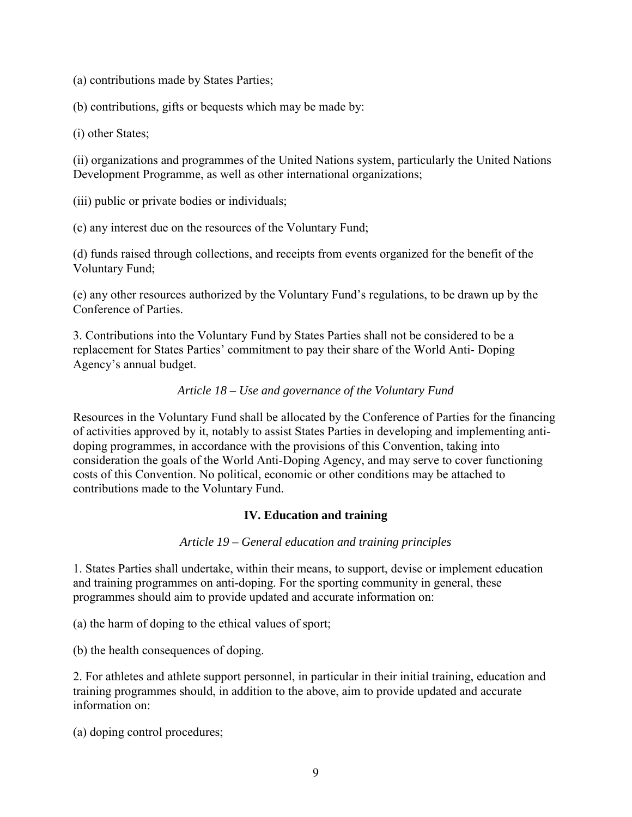(a) contributions made by States Parties;

(b) contributions, gifts or bequests which may be made by:

(i) other States;

(ii) organizations and programmes of the United Nations system, particularly the United Nations Development Programme, as well as other international organizations;

(iii) public or private bodies or individuals;

(c) any interest due on the resources of the Voluntary Fund;

(d) funds raised through collections, and receipts from events organized for the benefit of the Voluntary Fund;

(e) any other resources authorized by the Voluntary Fund's regulations, to be drawn up by the Conference of Parties.

3. Contributions into the Voluntary Fund by States Parties shall not be considered to be a replacement for States Parties' commitment to pay their share of the World Anti- Doping Agency's annual budget.

### *Article 18 – Use and governance of the Voluntary Fund*

Resources in the Voluntary Fund shall be allocated by the Conference of Parties for the financing of activities approved by it, notably to assist States Parties in developing and implementing antidoping programmes, in accordance with the provisions of this Convention, taking into consideration the goals of the World Anti-Doping Agency, and may serve to cover functioning costs of this Convention. No political, economic or other conditions may be attached to contributions made to the Voluntary Fund.

## **IV. Education and training**

## *Article 19 – General education and training principles*

1. States Parties shall undertake, within their means, to support, devise or implement education and training programmes on anti-doping. For the sporting community in general, these programmes should aim to provide updated and accurate information on:

(a) the harm of doping to the ethical values of sport;

(b) the health consequences of doping.

2. For athletes and athlete support personnel, in particular in their initial training, education and training programmes should, in addition to the above, aim to provide updated and accurate information on:

(a) doping control procedures;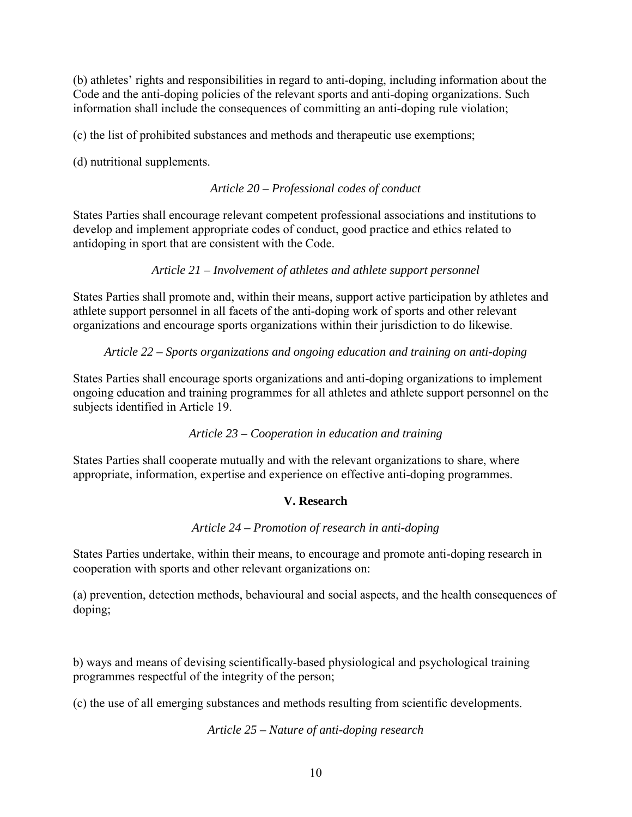(b) athletes' rights and responsibilities in regard to anti-doping, including information about the Code and the anti-doping policies of the relevant sports and anti-doping organizations. Such information shall include the consequences of committing an anti-doping rule violation;

(c) the list of prohibited substances and methods and therapeutic use exemptions;

(d) nutritional supplements.

*Article 20 – Professional codes of conduct* 

States Parties shall encourage relevant competent professional associations and institutions to develop and implement appropriate codes of conduct, good practice and ethics related to antidoping in sport that are consistent with the Code.

*Article 21 – Involvement of athletes and athlete support personnel* 

States Parties shall promote and, within their means, support active participation by athletes and athlete support personnel in all facets of the anti-doping work of sports and other relevant organizations and encourage sports organizations within their jurisdiction to do likewise.

*Article 22 – Sports organizations and ongoing education and training on anti-doping* 

States Parties shall encourage sports organizations and anti-doping organizations to implement ongoing education and training programmes for all athletes and athlete support personnel on the subjects identified in Article 19.

*Article 23 – Cooperation in education and training* 

States Parties shall cooperate mutually and with the relevant organizations to share, where appropriate, information, expertise and experience on effective anti-doping programmes.

## **V. Research**

*Article 24 – Promotion of research in anti-doping* 

States Parties undertake, within their means, to encourage and promote anti-doping research in cooperation with sports and other relevant organizations on:

(a) prevention, detection methods, behavioural and social aspects, and the health consequences of doping;

b) ways and means of devising scientifically-based physiological and psychological training programmes respectful of the integrity of the person;

(c) the use of all emerging substances and methods resulting from scientific developments.

*Article 25 – Nature of anti-doping research*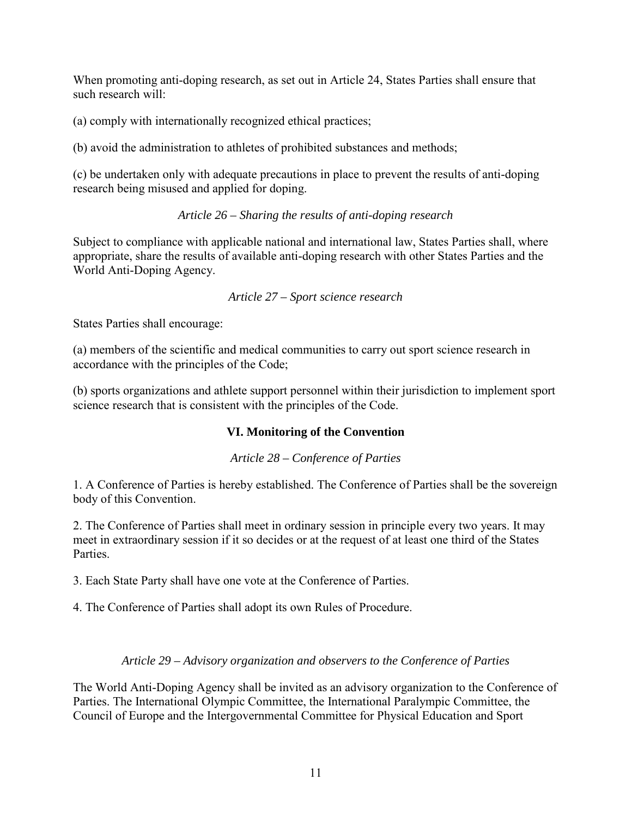When promoting anti-doping research, as set out in Article 24, States Parties shall ensure that such research will:

(a) comply with internationally recognized ethical practices;

(b) avoid the administration to athletes of prohibited substances and methods;

(c) be undertaken only with adequate precautions in place to prevent the results of anti-doping research being misused and applied for doping.

# *Article 26 – Sharing the results of anti-doping research*

Subject to compliance with applicable national and international law, States Parties shall, where appropriate, share the results of available anti-doping research with other States Parties and the World Anti-Doping Agency.

### *Article 27 – Sport science research*

States Parties shall encourage:

(a) members of the scientific and medical communities to carry out sport science research in accordance with the principles of the Code;

(b) sports organizations and athlete support personnel within their jurisdiction to implement sport science research that is consistent with the principles of the Code.

# **VI. Monitoring of the Convention**

## *Article 28 – Conference of Parties*

1. A Conference of Parties is hereby established. The Conference of Parties shall be the sovereign body of this Convention.

2. The Conference of Parties shall meet in ordinary session in principle every two years. It may meet in extraordinary session if it so decides or at the request of at least one third of the States Parties.

3. Each State Party shall have one vote at the Conference of Parties.

4. The Conference of Parties shall adopt its own Rules of Procedure.

## *Article 29 – Advisory organization and observers to the Conference of Parties*

The World Anti-Doping Agency shall be invited as an advisory organization to the Conference of Parties. The International Olympic Committee, the International Paralympic Committee, the Council of Europe and the Intergovernmental Committee for Physical Education and Sport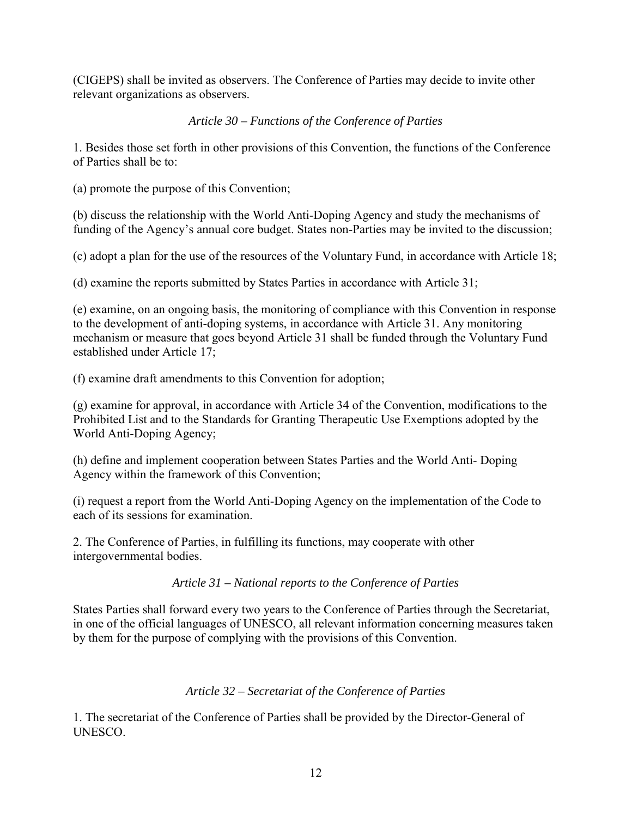(CIGEPS) shall be invited as observers. The Conference of Parties may decide to invite other relevant organizations as observers.

# *Article 30 – Functions of the Conference of Parties*

1. Besides those set forth in other provisions of this Convention, the functions of the Conference of Parties shall be to:

(a) promote the purpose of this Convention;

(b) discuss the relationship with the World Anti-Doping Agency and study the mechanisms of funding of the Agency's annual core budget. States non-Parties may be invited to the discussion;

(c) adopt a plan for the use of the resources of the Voluntary Fund, in accordance with Article 18;

(d) examine the reports submitted by States Parties in accordance with Article 31;

(e) examine, on an ongoing basis, the monitoring of compliance with this Convention in response to the development of anti-doping systems, in accordance with Article 31. Any monitoring mechanism or measure that goes beyond Article 31 shall be funded through the Voluntary Fund established under Article 17;

(f) examine draft amendments to this Convention for adoption;

(g) examine for approval, in accordance with Article 34 of the Convention, modifications to the Prohibited List and to the Standards for Granting Therapeutic Use Exemptions adopted by the World Anti-Doping Agency;

(h) define and implement cooperation between States Parties and the World Anti- Doping Agency within the framework of this Convention;

(i) request a report from the World Anti-Doping Agency on the implementation of the Code to each of its sessions for examination.

2. The Conference of Parties, in fulfilling its functions, may cooperate with other intergovernmental bodies.

## *Article 31 – National reports to the Conference of Parties*

States Parties shall forward every two years to the Conference of Parties through the Secretariat, in one of the official languages of UNESCO, all relevant information concerning measures taken by them for the purpose of complying with the provisions of this Convention.

# *Article 32 – Secretariat of the Conference of Parties*

1. The secretariat of the Conference of Parties shall be provided by the Director-General of UNESCO.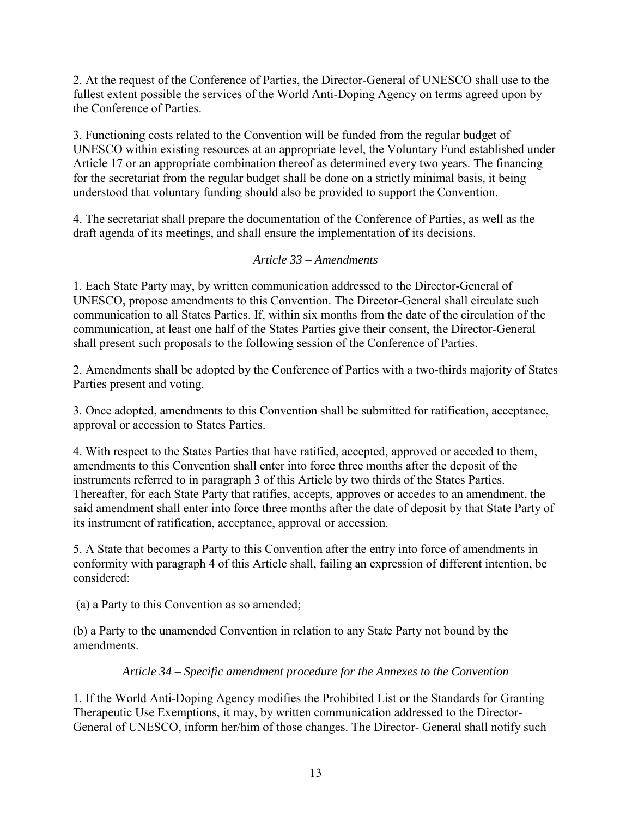2. At the request of the Conference of Parties, the Director-General of UNESCO shall use to the fullest extent possible the services of the World Anti-Doping Agency on terms agreed upon by the Conference of Parties.

3. Functioning costs related to the Convention will be funded from the regular budget of UNESCO within existing resources at an appropriate level, the Voluntary Fund established under Article 17 or an appropriate combination thereof as determined every two years. The financing for the secretariat from the regular budget shall be done on a strictly minimal basis, it being understood that voluntary funding should also be provided to support the Convention.

4. The secretariat shall prepare the documentation of the Conference of Parties, as well as the draft agenda of its meetings, and shall ensure the implementation of its decisions.

## *Article 33 – Amendments*

1. Each State Party may, by written communication addressed to the Director-General of UNESCO, propose amendments to this Convention. The Director-General shall circulate such communication to all States Parties. If, within six months from the date of the circulation of the communication, at least one half of the States Parties give their consent, the Director-General shall present such proposals to the following session of the Conference of Parties.

2. Amendments shall be adopted by the Conference of Parties with a two-thirds majority of States Parties present and voting.

3. Once adopted, amendments to this Convention shall be submitted for ratification, acceptance, approval or accession to States Parties.

4. With respect to the States Parties that have ratified, accepted, approved or acceded to them, amendments to this Convention shall enter into force three months after the deposit of the instruments referred to in paragraph 3 of this Article by two thirds of the States Parties. Thereafter, for each State Party that ratifies, accepts, approves or accedes to an amendment, the said amendment shall enter into force three months after the date of deposit by that State Party of its instrument of ratification, acceptance, approval or accession.

5. A State that becomes a Party to this Convention after the entry into force of amendments in conformity with paragraph 4 of this Article shall, failing an expression of different intention, be considered:

(a) a Party to this Convention as so amended;

(b) a Party to the unamended Convention in relation to any State Party not bound by the amendments.

## *Article 34 – Specific amendment procedure for the Annexes to the Convention*

1. If the World Anti-Doping Agency modifies the Prohibited List or the Standards for Granting Therapeutic Use Exemptions, it may, by written communication addressed to the Director-General of UNESCO, inform her/him of those changes. The Director- General shall notify such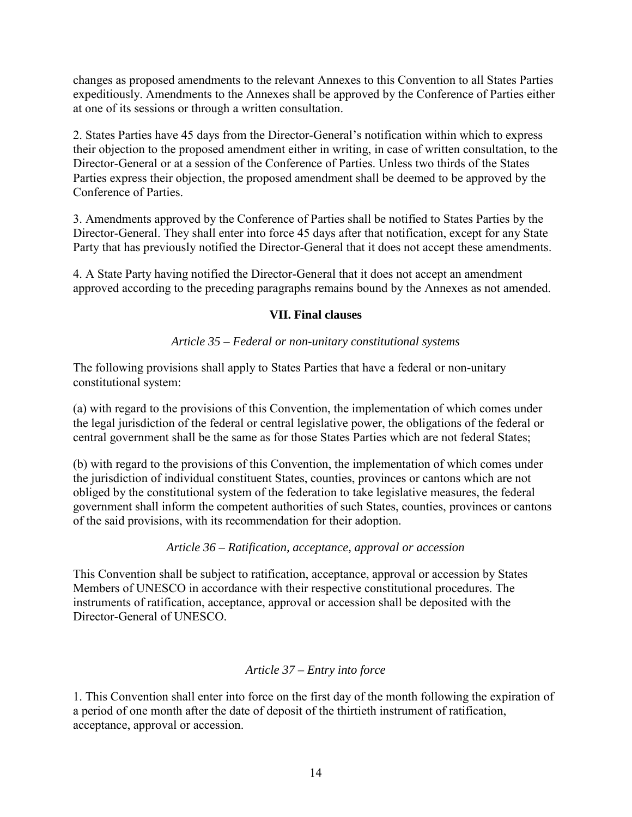changes as proposed amendments to the relevant Annexes to this Convention to all States Parties expeditiously. Amendments to the Annexes shall be approved by the Conference of Parties either at one of its sessions or through a written consultation.

2. States Parties have 45 days from the Director-General's notification within which to express their objection to the proposed amendment either in writing, in case of written consultation, to the Director-General or at a session of the Conference of Parties. Unless two thirds of the States Parties express their objection, the proposed amendment shall be deemed to be approved by the Conference of Parties.

3. Amendments approved by the Conference of Parties shall be notified to States Parties by the Director-General. They shall enter into force 45 days after that notification, except for any State Party that has previously notified the Director-General that it does not accept these amendments.

4. A State Party having notified the Director-General that it does not accept an amendment approved according to the preceding paragraphs remains bound by the Annexes as not amended.

## **VII. Final clauses**

## *Article 35 – Federal or non-unitary constitutional systems*

The following provisions shall apply to States Parties that have a federal or non-unitary constitutional system:

(a) with regard to the provisions of this Convention, the implementation of which comes under the legal jurisdiction of the federal or central legislative power, the obligations of the federal or central government shall be the same as for those States Parties which are not federal States;

(b) with regard to the provisions of this Convention, the implementation of which comes under the jurisdiction of individual constituent States, counties, provinces or cantons which are not obliged by the constitutional system of the federation to take legislative measures, the federal government shall inform the competent authorities of such States, counties, provinces or cantons of the said provisions, with its recommendation for their adoption.

## *Article 36 – Ratification, acceptance, approval or accession*

This Convention shall be subject to ratification, acceptance, approval or accession by States Members of UNESCO in accordance with their respective constitutional procedures. The instruments of ratification, acceptance, approval or accession shall be deposited with the Director-General of UNESCO.

## *Article 37 – Entry into force*

1. This Convention shall enter into force on the first day of the month following the expiration of a period of one month after the date of deposit of the thirtieth instrument of ratification, acceptance, approval or accession.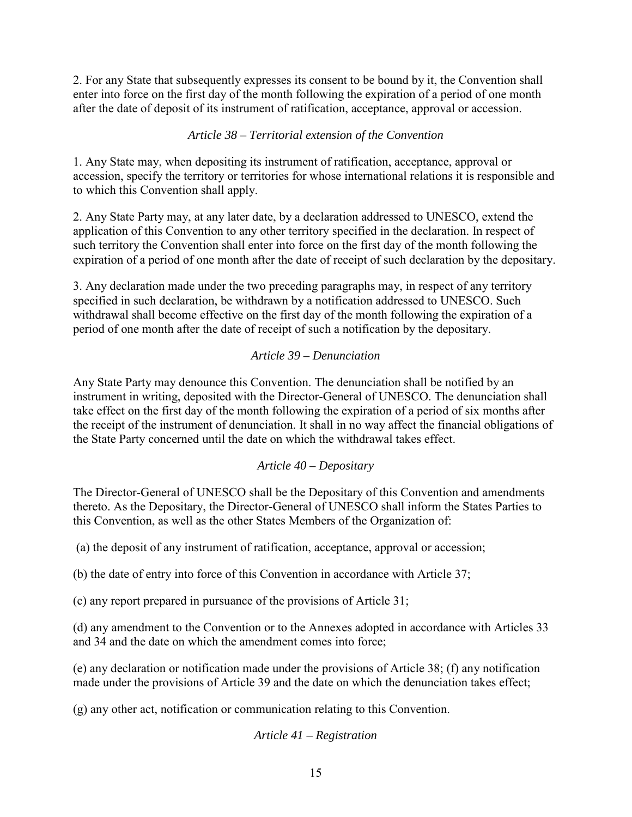2. For any State that subsequently expresses its consent to be bound by it, the Convention shall enter into force on the first day of the month following the expiration of a period of one month after the date of deposit of its instrument of ratification, acceptance, approval or accession.

## *Article 38 – Territorial extension of the Convention*

1. Any State may, when depositing its instrument of ratification, acceptance, approval or accession, specify the territory or territories for whose international relations it is responsible and to which this Convention shall apply.

2. Any State Party may, at any later date, by a declaration addressed to UNESCO, extend the application of this Convention to any other territory specified in the declaration. In respect of such territory the Convention shall enter into force on the first day of the month following the expiration of a period of one month after the date of receipt of such declaration by the depositary.

3. Any declaration made under the two preceding paragraphs may, in respect of any territory specified in such declaration, be withdrawn by a notification addressed to UNESCO. Such withdrawal shall become effective on the first day of the month following the expiration of a period of one month after the date of receipt of such a notification by the depositary.

## *Article 39 – Denunciation*

Any State Party may denounce this Convention. The denunciation shall be notified by an instrument in writing, deposited with the Director-General of UNESCO. The denunciation shall take effect on the first day of the month following the expiration of a period of six months after the receipt of the instrument of denunciation. It shall in no way affect the financial obligations of the State Party concerned until the date on which the withdrawal takes effect.

## *Article 40 – Depositary*

The Director-General of UNESCO shall be the Depositary of this Convention and amendments thereto. As the Depositary, the Director-General of UNESCO shall inform the States Parties to this Convention, as well as the other States Members of the Organization of:

(a) the deposit of any instrument of ratification, acceptance, approval or accession;

(b) the date of entry into force of this Convention in accordance with Article 37;

(c) any report prepared in pursuance of the provisions of Article 31;

(d) any amendment to the Convention or to the Annexes adopted in accordance with Articles 33 and 34 and the date on which the amendment comes into force;

(e) any declaration or notification made under the provisions of Article 38; (f) any notification made under the provisions of Article 39 and the date on which the denunciation takes effect;

(g) any other act, notification or communication relating to this Convention.

# *Article 41 – Registration*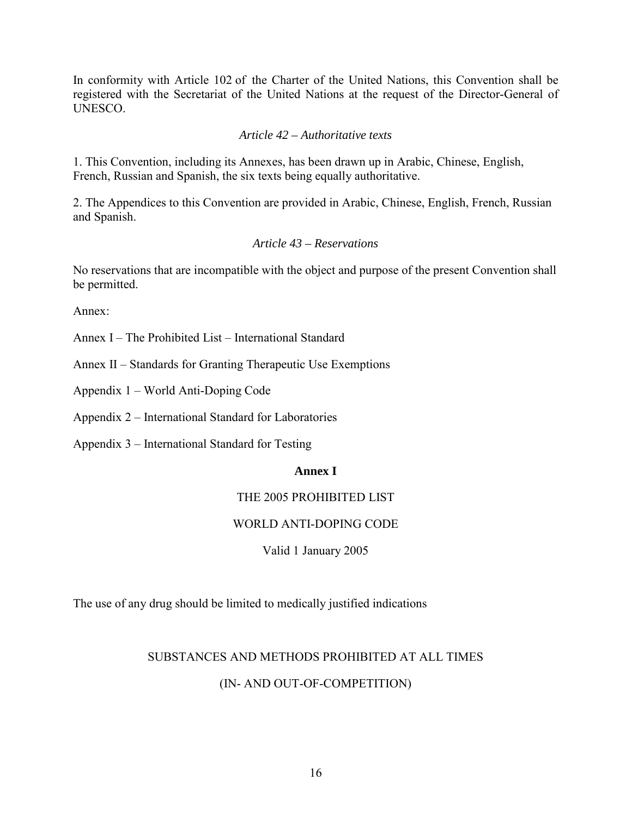In conformity with Article 102 of the Charter of the United Nations, this Convention shall be registered with the Secretariat of the United Nations at the request of the Director-General of UNESCO.

#### *Article 42 – Authoritative texts*

1. This Convention, including its Annexes, has been drawn up in Arabic, Chinese, English, French, Russian and Spanish, the six texts being equally authoritative.

2. The Appendices to this Convention are provided in Arabic, Chinese, English, French, Russian and Spanish.

#### *Article 43 – Reservations*

No reservations that are incompatible with the object and purpose of the present Convention shall be permitted.

Annex:

Annex I – The Prohibited List – International Standard

Annex II – Standards for Granting Therapeutic Use Exemptions

Appendix 1 – World Anti-Doping Code

Appendix 2 – International Standard for Laboratories

Appendix 3 – International Standard for Testing

#### **Annex I**

### THE 2005 PROHIBITED LIST

#### WORLD ANTI-DOPING CODE

### Valid 1 January 2005

The use of any drug should be limited to medically justified indications

### SUBSTANCES AND METHODS PROHIBITED AT ALL TIMES

### (IN- AND OUT-OF-COMPETITION)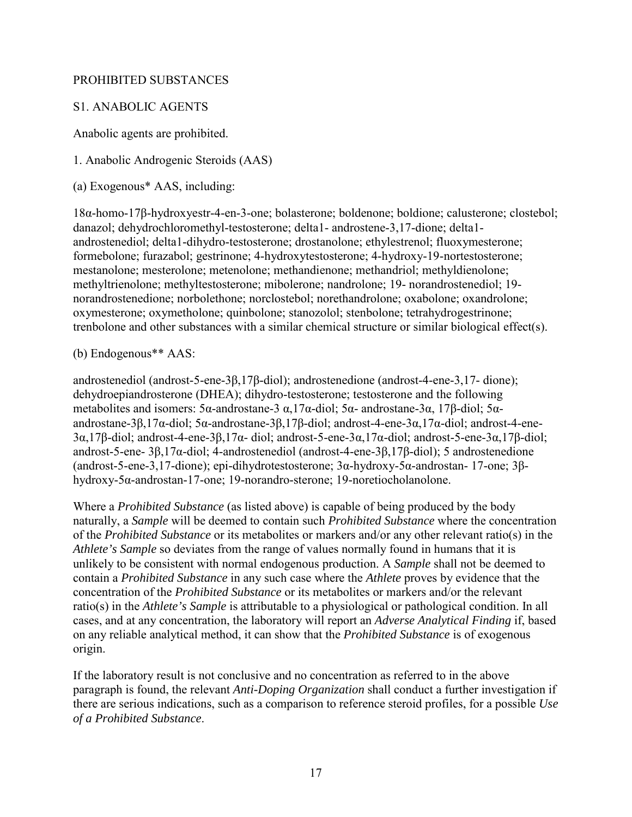### PROHIBITED SUBSTANCES

### S1. ANABOLIC AGENTS

Anabolic agents are prohibited.

1. Anabolic Androgenic Steroids (AAS)

(a) Exogenous\* AAS, including:

18α-homo-17β-hydroxyestr-4-en-3-one; bolasterone; boldenone; boldione; calusterone; clostebol; danazol; dehydrochloromethyl-testosterone; delta1- androstene-3,17-dione; delta1 androstenediol; delta1-dihydro-testosterone; drostanolone; ethylestrenol; fluoxymesterone; formebolone; furazabol; gestrinone; 4-hydroxytestosterone; 4-hydroxy-19-nortestosterone; mestanolone; mesterolone; metenolone; methandienone; methandriol; methyldienolone; methyltrienolone; methyltestosterone; mibolerone; nandrolone; 19- norandrostenediol; 19 norandrostenedione; norbolethone; norclostebol; norethandrolone; oxabolone; oxandrolone; oxymesterone; oxymetholone; quinbolone; stanozolol; stenbolone; tetrahydrogestrinone; trenbolone and other substances with a similar chemical structure or similar biological effect(s).

## (b) Endogenous\*\* AAS:

androstenediol (androst-5-ene-3β,17β-diol); androstenedione (androst-4-ene-3,17- dione); dehydroepiandrosterone (DHEA); dihydro-testosterone; testosterone and the following metabolites and isomers: 5α-androstane-3 α,17α-diol; 5α- androstane-3α, 17β-diol; 5αandrostane-3β,17α-diol; 5α-androstane-3β,17β-diol; androst-4-ene-3α,17α-diol; androst-4-ene-3α,17β-diol; androst-4-ene-3β,17α- diol; androst-5-ene-3α,17α-diol; androst-5-ene-3α,17β-diol; androst-5-ene- 3β,17α-diol; 4-androstenediol (androst-4-ene-3β,17β-diol); 5 androstenedione (androst-5-ene-3,17-dione); epi-dihydrotestosterone; 3α-hydroxy-5α-androstan- 17-one; 3βhydroxy-5α-androstan-17-one; 19-norandro-sterone; 19-noretiocholanolone.

Where a *Prohibited Substance* (as listed above) is capable of being produced by the body naturally, a *Sample* will be deemed to contain such *Prohibited Substance* where the concentration of the *Prohibited Substance* or its metabolites or markers and/or any other relevant ratio(s) in the *Athlete's Sample* so deviates from the range of values normally found in humans that it is unlikely to be consistent with normal endogenous production. A *Sample* shall not be deemed to contain a *Prohibited Substance* in any such case where the *Athlete* proves by evidence that the concentration of the *Prohibited Substance* or its metabolites or markers and/or the relevant ratio(s) in the *Athlete's Sample* is attributable to a physiological or pathological condition. In all cases, and at any concentration, the laboratory will report an *Adverse Analytical Finding* if, based on any reliable analytical method, it can show that the *Prohibited Substance* is of exogenous origin.

If the laboratory result is not conclusive and no concentration as referred to in the above paragraph is found, the relevant *Anti-Doping Organization* shall conduct a further investigation if there are serious indications, such as a comparison to reference steroid profiles, for a possible *Use of a Prohibited Substance*.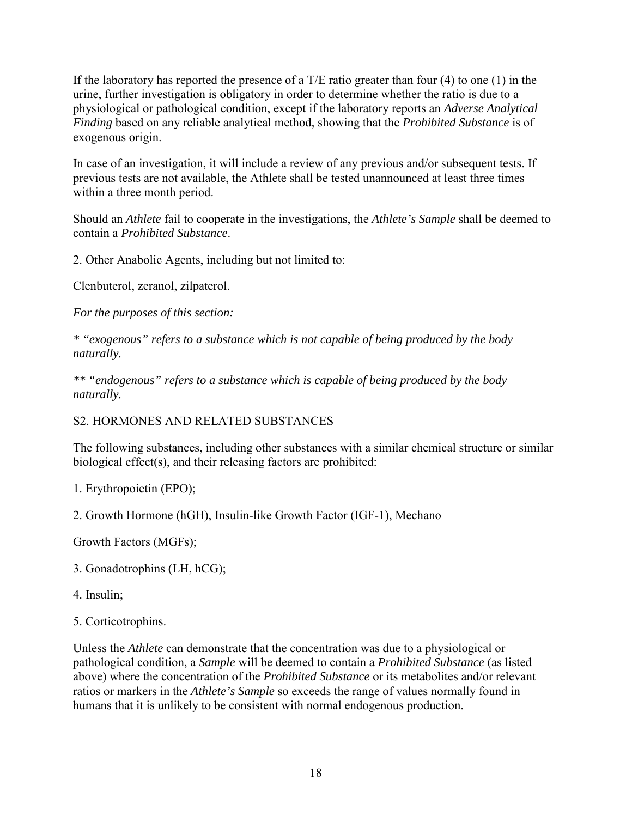If the laboratory has reported the presence of a  $T/E$  ratio greater than four (4) to one (1) in the urine, further investigation is obligatory in order to determine whether the ratio is due to a physiological or pathological condition, except if the laboratory reports an *Adverse Analytical Finding* based on any reliable analytical method, showing that the *Prohibited Substance* is of exogenous origin.

In case of an investigation, it will include a review of any previous and/or subsequent tests. If previous tests are not available, the Athlete shall be tested unannounced at least three times within a three month period.

Should an *Athlete* fail to cooperate in the investigations, the *Athlete's Sample* shall be deemed to contain a *Prohibited Substance*.

2. Other Anabolic Agents, including but not limited to:

Clenbuterol, zeranol, zilpaterol.

*For the purposes of this section:* 

*\* "exogenous" refers to a substance which is not capable of being produced by the body naturally.* 

*\*\* "endogenous" refers to a substance which is capable of being produced by the body naturally.* 

### S2. HORMONES AND RELATED SUBSTANCES

The following substances, including other substances with a similar chemical structure or similar biological effect(s), and their releasing factors are prohibited:

1. Erythropoietin (EPO);

2. Growth Hormone (hGH), Insulin-like Growth Factor (IGF-1), Mechano

Growth Factors (MGFs);

- 3. Gonadotrophins (LH, hCG);
- 4. Insulin;

5. Corticotrophins.

Unless the *Athlete* can demonstrate that the concentration was due to a physiological or pathological condition, a *Sample* will be deemed to contain a *Prohibited Substance* (as listed above) where the concentration of the *Prohibited Substance* or its metabolites and/or relevant ratios or markers in the *Athlete's Sample* so exceeds the range of values normally found in humans that it is unlikely to be consistent with normal endogenous production.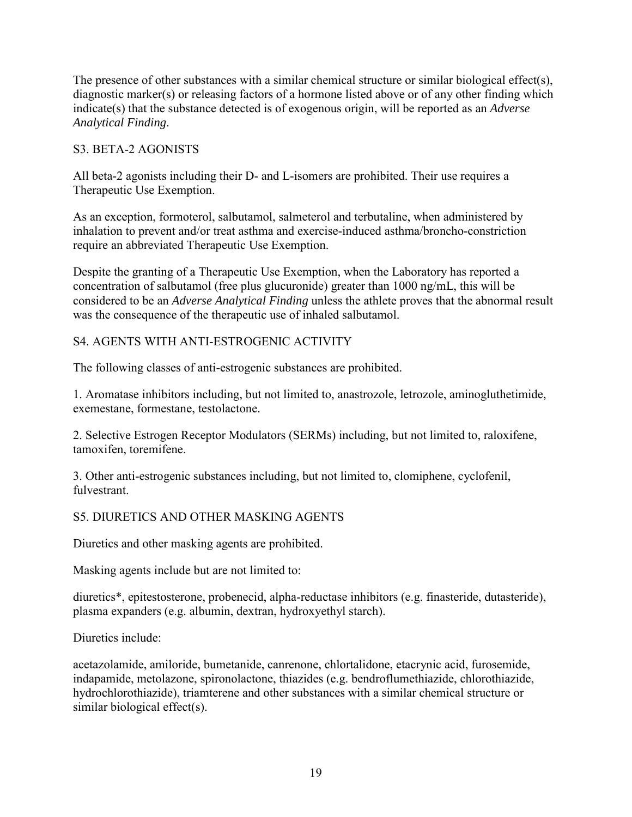The presence of other substances with a similar chemical structure or similar biological effect(s), diagnostic marker(s) or releasing factors of a hormone listed above or of any other finding which indicate(s) that the substance detected is of exogenous origin, will be reported as an *Adverse Analytical Finding*.

## S3. BETA-2 AGONISTS

All beta-2 agonists including their D- and L-isomers are prohibited. Their use requires a Therapeutic Use Exemption.

As an exception, formoterol, salbutamol, salmeterol and terbutaline, when administered by inhalation to prevent and/or treat asthma and exercise-induced asthma/broncho-constriction require an abbreviated Therapeutic Use Exemption.

Despite the granting of a Therapeutic Use Exemption, when the Laboratory has reported a concentration of salbutamol (free plus glucuronide) greater than 1000 ng/mL, this will be considered to be an *Adverse Analytical Finding* unless the athlete proves that the abnormal result was the consequence of the therapeutic use of inhaled salbutamol.

## S4. AGENTS WITH ANTI-ESTROGENIC ACTIVITY

The following classes of anti-estrogenic substances are prohibited.

1. Aromatase inhibitors including, but not limited to, anastrozole, letrozole, aminogluthetimide, exemestane, formestane, testolactone.

2. Selective Estrogen Receptor Modulators (SERMs) including, but not limited to, raloxifene, tamoxifen, toremifene.

3. Other anti-estrogenic substances including, but not limited to, clomiphene, cyclofenil, fulvestrant.

### S5. DIURETICS AND OTHER MASKING AGENTS

Diuretics and other masking agents are prohibited.

Masking agents include but are not limited to:

diuretics\*, epitestosterone, probenecid, alpha-reductase inhibitors (e.g. finasteride, dutasteride), plasma expanders (e.g. albumin, dextran, hydroxyethyl starch).

Diuretics include:

acetazolamide, amiloride, bumetanide, canrenone, chlortalidone, etacrynic acid, furosemide, indapamide, metolazone, spironolactone, thiazides (e.g. bendroflumethiazide, chlorothiazide, hydrochlorothiazide), triamterene and other substances with a similar chemical structure or similar biological effect(s).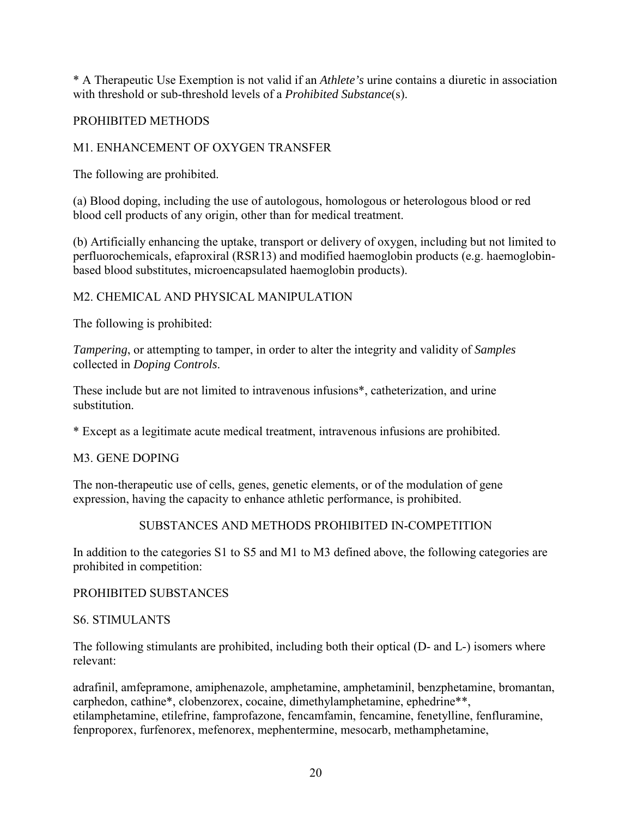\* A Therapeutic Use Exemption is not valid if an *Athlete's* urine contains a diuretic in association with threshold or sub-threshold levels of a *Prohibited Substance*(s).

### PROHIBITED METHODS

## M1. ENHANCEMENT OF OXYGEN TRANSFER

The following are prohibited.

(a) Blood doping, including the use of autologous, homologous or heterologous blood or red blood cell products of any origin, other than for medical treatment.

(b) Artificially enhancing the uptake, transport or delivery of oxygen, including but not limited to perfluorochemicals, efaproxiral (RSR13) and modified haemoglobin products (e.g. haemoglobinbased blood substitutes, microencapsulated haemoglobin products).

### M2. CHEMICAL AND PHYSICAL MANIPULATION

The following is prohibited:

*Tampering*, or attempting to tamper, in order to alter the integrity and validity of *Samples*  collected in *Doping Controls*.

These include but are not limited to intravenous infusions\*, catheterization, and urine substitution.

\* Except as a legitimate acute medical treatment, intravenous infusions are prohibited.

### M3. GENE DOPING

The non-therapeutic use of cells, genes, genetic elements, or of the modulation of gene expression, having the capacity to enhance athletic performance, is prohibited.

### SUBSTANCES AND METHODS PROHIBITED IN-COMPETITION

In addition to the categories S1 to S5 and M1 to M3 defined above, the following categories are prohibited in competition:

#### PROHIBITED SUBSTANCES

### S6. STIMULANTS

The following stimulants are prohibited, including both their optical (D- and L-) isomers where relevant:

adrafinil, amfepramone, amiphenazole, amphetamine, amphetaminil, benzphetamine, bromantan, carphedon, cathine\*, clobenzorex, cocaine, dimethylamphetamine, ephedrine\*\*, etilamphetamine, etilefrine, famprofazone, fencamfamin, fencamine, fenetylline, fenfluramine, fenproporex, furfenorex, mefenorex, mephentermine, mesocarb, methamphetamine,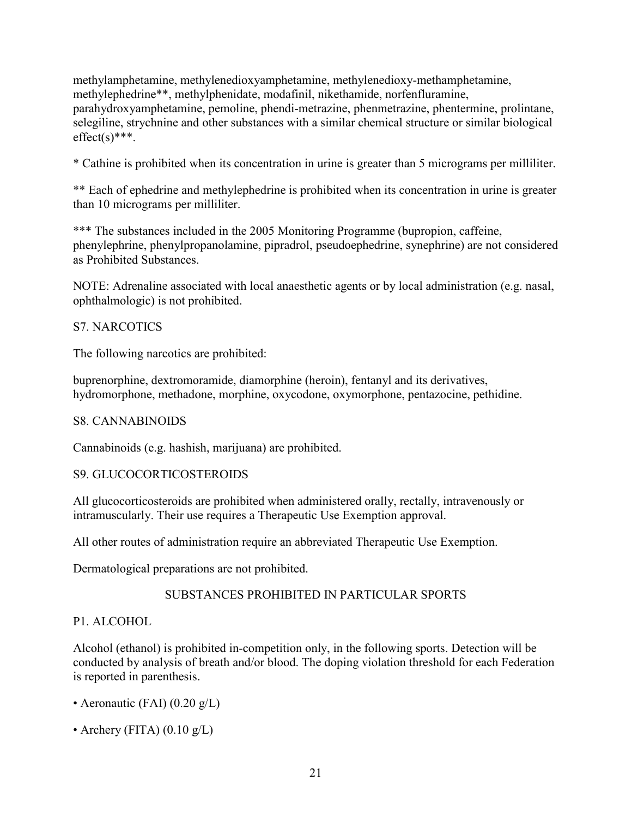methylamphetamine, methylenedioxyamphetamine, methylenedioxy-methamphetamine, methylephedrine\*\*, methylphenidate, modafinil, nikethamide, norfenfluramine, parahydroxyamphetamine, pemoline, phendi-metrazine, phenmetrazine, phentermine, prolintane, selegiline, strychnine and other substances with a similar chemical structure or similar biological  $effect(s)$ \*\*\*.

\* Cathine is prohibited when its concentration in urine is greater than 5 micrograms per milliliter.

\*\* Each of ephedrine and methylephedrine is prohibited when its concentration in urine is greater than 10 micrograms per milliliter.

\*\*\* The substances included in the 2005 Monitoring Programme (bupropion, caffeine, phenylephrine, phenylpropanolamine, pipradrol, pseudoephedrine, synephrine) are not considered as Prohibited Substances.

NOTE: Adrenaline associated with local anaesthetic agents or by local administration (e.g. nasal, ophthalmologic) is not prohibited.

## S7. NARCOTICS

The following narcotics are prohibited:

buprenorphine, dextromoramide, diamorphine (heroin), fentanyl and its derivatives, hydromorphone, methadone, morphine, oxycodone, oxymorphone, pentazocine, pethidine.

## S8. CANNABINOIDS

Cannabinoids (e.g. hashish, marijuana) are prohibited.

## S9. GLUCOCORTICOSTEROIDS

All glucocorticosteroids are prohibited when administered orally, rectally, intravenously or intramuscularly. Their use requires a Therapeutic Use Exemption approval.

All other routes of administration require an abbreviated Therapeutic Use Exemption.

Dermatological preparations are not prohibited.

## SUBSTANCES PROHIBITED IN PARTICULAR SPORTS

## P1. ALCOHOL

Alcohol (ethanol) is prohibited in-competition only, in the following sports. Detection will be conducted by analysis of breath and/or blood. The doping violation threshold for each Federation is reported in parenthesis.

- Aeronautic (FAI) (0.20 g/L)
- Archery (FITA)  $(0.10 \text{ g/L})$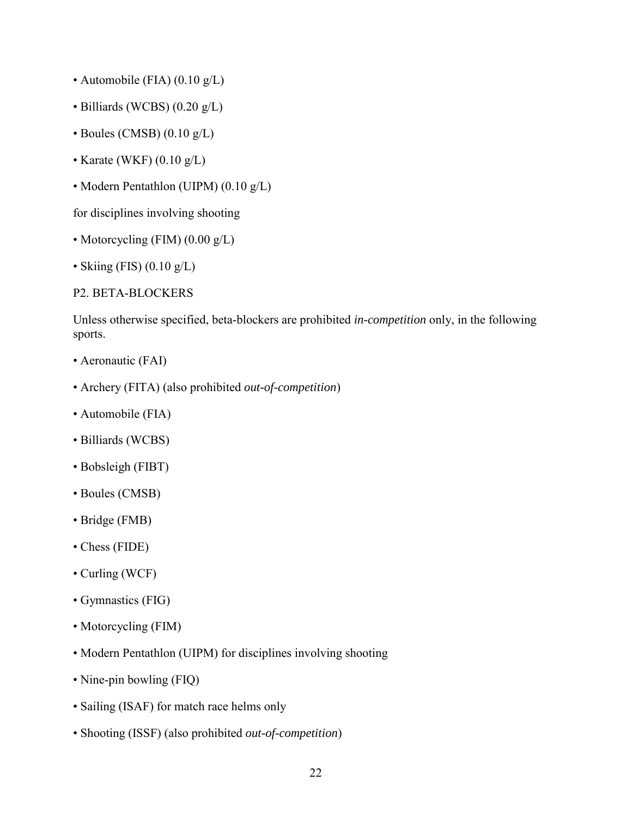- Automobile (FIA) (0.10 g/L)
- Billiards (WCBS) (0.20 g/L)
- Boules (CMSB) (0.10 g/L)
- Karate (WKF)  $(0.10 \text{ g/L})$
- Modern Pentathlon (UIPM) (0.10 g/L)

for disciplines involving shooting

- Motorcycling (FIM) (0.00 g/L)
- Skiing (FIS)  $(0.10 \text{ g/L})$

### P2. BETA-BLOCKERS

Unless otherwise specified, beta-blockers are prohibited *in-competition* only, in the following sports.

- Aeronautic (FAI)
- Archery (FITA) (also prohibited *out-of-competition*)
- Automobile (FIA)
- Billiards (WCBS)
- Bobsleigh (FIBT)
- Boules (CMSB)
- Bridge (FMB)
- Chess (FIDE)
- Curling (WCF)
- Gymnastics (FIG)
- Motorcycling (FIM)
- Modern Pentathlon (UIPM) for disciplines involving shooting
- Nine-pin bowling (FIQ)
- Sailing (ISAF) for match race helms only
- Shooting (ISSF) (also prohibited *out-of-competition*)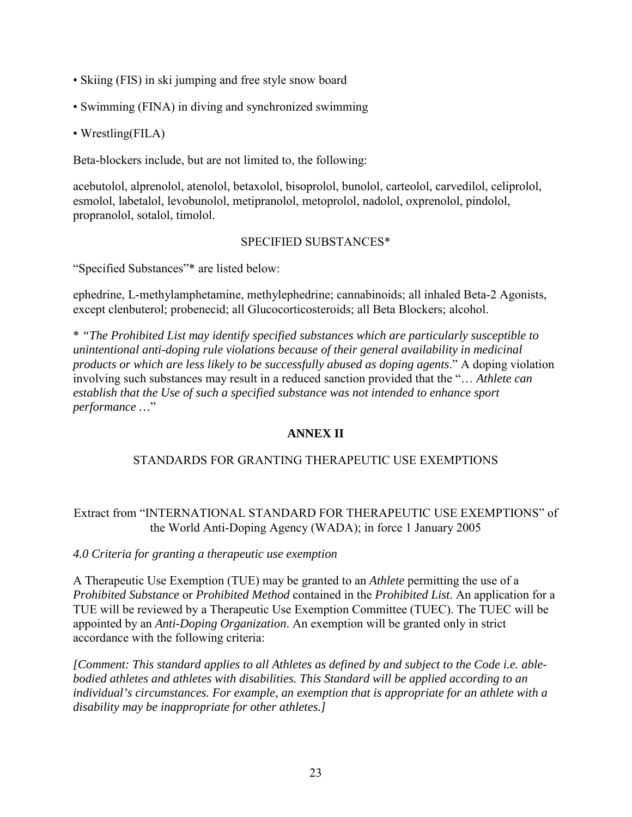- Skiing (FIS) in ski jumping and free style snow board
- Swimming (FINA) in diving and synchronized swimming
- Wrestling(FILA)

Beta-blockers include, but are not limited to, the following:

acebutolol, alprenolol, atenolol, betaxolol, bisoprolol, bunolol, carteolol, carvedilol, celiprolol, esmolol, labetalol, levobunolol, metipranolol, metoprolol, nadolol, oxprenolol, pindolol, propranolol, sotalol, timolol.

### SPECIFIED SUBSTANCES\*

"Specified Substances"\* are listed below:

ephedrine, L-methylamphetamine, methylephedrine; cannabinoids; all inhaled Beta-2 Agonists, except clenbuterol; probenecid; all Glucocorticosteroids; all Beta Blockers; alcohol.

\* *"The Prohibited List may identify specified substances which are particularly susceptible to unintentional anti-doping rule violations because of their general availability in medicinal products or which are less likely to be successfully abused as doping agents*." A doping violation involving such substances may result in a reduced sanction provided that the "… *Athlete can establish that the Use of such a specified substance was not intended to enhance sport performance …*"

## **ANNEX II**

## STANDARDS FOR GRANTING THERAPEUTIC USE EXEMPTIONS

## Extract from "INTERNATIONAL STANDARD FOR THERAPEUTIC USE EXEMPTIONS" of the World Anti-Doping Agency (WADA); in force 1 January 2005

### *4.0 Criteria for granting a therapeutic use exemption*

A Therapeutic Use Exemption (TUE) may be granted to an *Athlete* permitting the use of a *Prohibited Substance* or *Prohibited Method* contained in the *Prohibited List*. An application for a TUE will be reviewed by a Therapeutic Use Exemption Committee (TUEC). The TUEC will be appointed by an *Anti-Doping Organization*. An exemption will be granted only in strict accordance with the following criteria:

*[Comment: This standard applies to all Athletes as defined by and subject to the Code i.e. ablebodied athletes and athletes with disabilities. This Standard will be applied according to an individual's circumstances. For example, an exemption that is appropriate for an athlete with a disability may be inappropriate for other athletes.]*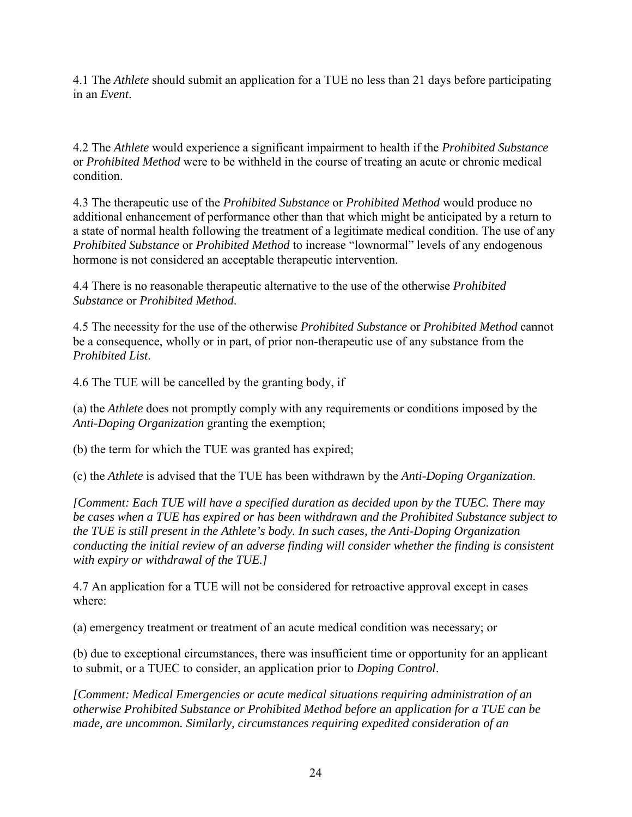4.1 The *Athlete* should submit an application for a TUE no less than 21 days before participating in an *Event*.

4.2 The *Athlete* would experience a significant impairment to health if the *Prohibited Substance*  or *Prohibited Method* were to be withheld in the course of treating an acute or chronic medical condition.

4.3 The therapeutic use of the *Prohibited Substance* or *Prohibited Method* would produce no additional enhancement of performance other than that which might be anticipated by a return to a state of normal health following the treatment of a legitimate medical condition. The use of any *Prohibited Substance* or *Prohibited Method* to increase "lownormal" levels of any endogenous hormone is not considered an acceptable therapeutic intervention.

4.4 There is no reasonable therapeutic alternative to the use of the otherwise *Prohibited Substance* or *Prohibited Method*.

4.5 The necessity for the use of the otherwise *Prohibited Substance* or *Prohibited Method* cannot be a consequence, wholly or in part, of prior non-therapeutic use of any substance from the *Prohibited List*.

4.6 The TUE will be cancelled by the granting body, if

(a) the *Athlete* does not promptly comply with any requirements or conditions imposed by the *Anti-Doping Organization* granting the exemption;

(b) the term for which the TUE was granted has expired;

(c) the *Athlete* is advised that the TUE has been withdrawn by the *Anti-Doping Organization*.

*[Comment: Each TUE will have a specified duration as decided upon by the TUEC. There may be cases when a TUE has expired or has been withdrawn and the Prohibited Substance subject to the TUE is still present in the Athlete's body. In such cases, the Anti-Doping Organization conducting the initial review of an adverse finding will consider whether the finding is consistent with expiry or withdrawal of the TUE.]* 

4.7 An application for a TUE will not be considered for retroactive approval except in cases where:

(a) emergency treatment or treatment of an acute medical condition was necessary; or

(b) due to exceptional circumstances, there was insufficient time or opportunity for an applicant to submit, or a TUEC to consider, an application prior to *Doping Control*.

*[Comment: Medical Emergencies or acute medical situations requiring administration of an otherwise Prohibited Substance or Prohibited Method before an application for a TUE can be made, are uncommon. Similarly, circumstances requiring expedited consideration of an*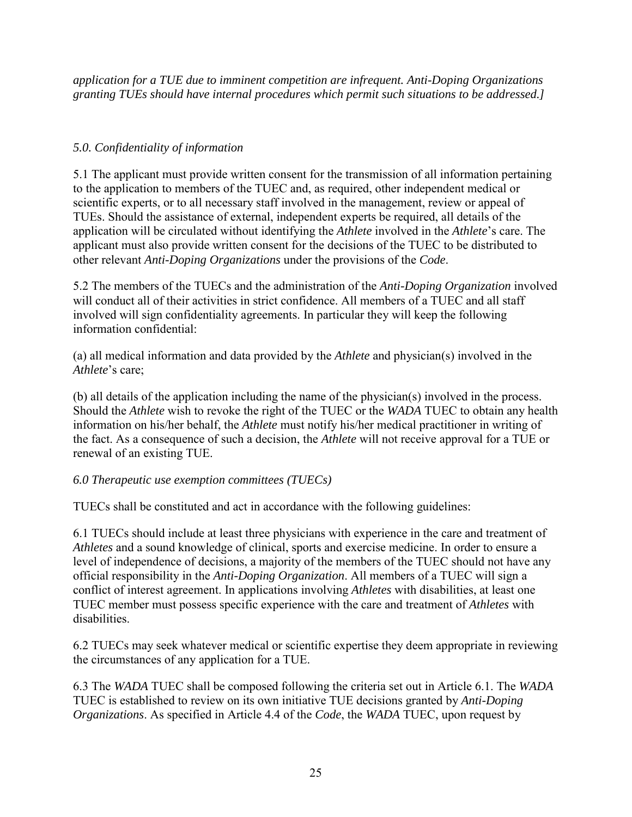*application for a TUE due to imminent competition are infrequent. Anti-Doping Organizations granting TUEs should have internal procedures which permit such situations to be addressed.]* 

# *5.0. Confidentiality of information*

5.1 The applicant must provide written consent for the transmission of all information pertaining to the application to members of the TUEC and, as required, other independent medical or scientific experts, or to all necessary staff involved in the management, review or appeal of TUEs. Should the assistance of external, independent experts be required, all details of the application will be circulated without identifying the *Athlete* involved in the *Athlete*'s care. The applicant must also provide written consent for the decisions of the TUEC to be distributed to other relevant *Anti-Doping Organizations* under the provisions of the *Code*.

5.2 The members of the TUECs and the administration of the *Anti-Doping Organization* involved will conduct all of their activities in strict confidence. All members of a TUEC and all staff involved will sign confidentiality agreements. In particular they will keep the following information confidential:

(a) all medical information and data provided by the *Athlete* and physician(s) involved in the *Athlete*'s care;

(b) all details of the application including the name of the physician(s) involved in the process. Should the *Athlete* wish to revoke the right of the TUEC or the *WADA* TUEC to obtain any health information on his/her behalf, the *Athlete* must notify his/her medical practitioner in writing of the fact. As a consequence of such a decision, the *Athlete* will not receive approval for a TUE or renewal of an existing TUE.

# *6.0 Therapeutic use exemption committees (TUECs)*

TUECs shall be constituted and act in accordance with the following guidelines:

6.1 TUECs should include at least three physicians with experience in the care and treatment of *Athletes* and a sound knowledge of clinical, sports and exercise medicine. In order to ensure a level of independence of decisions, a majority of the members of the TUEC should not have any official responsibility in the *Anti-Doping Organization*. All members of a TUEC will sign a conflict of interest agreement. In applications involving *Athletes* with disabilities, at least one TUEC member must possess specific experience with the care and treatment of *Athletes* with disabilities.

6.2 TUECs may seek whatever medical or scientific expertise they deem appropriate in reviewing the circumstances of any application for a TUE.

6.3 The *WADA* TUEC shall be composed following the criteria set out in Article 6.1. The *WADA*  TUEC is established to review on its own initiative TUE decisions granted by *Anti-Doping Organizations*. As specified in Article 4.4 of the *Code*, the *WADA* TUEC, upon request by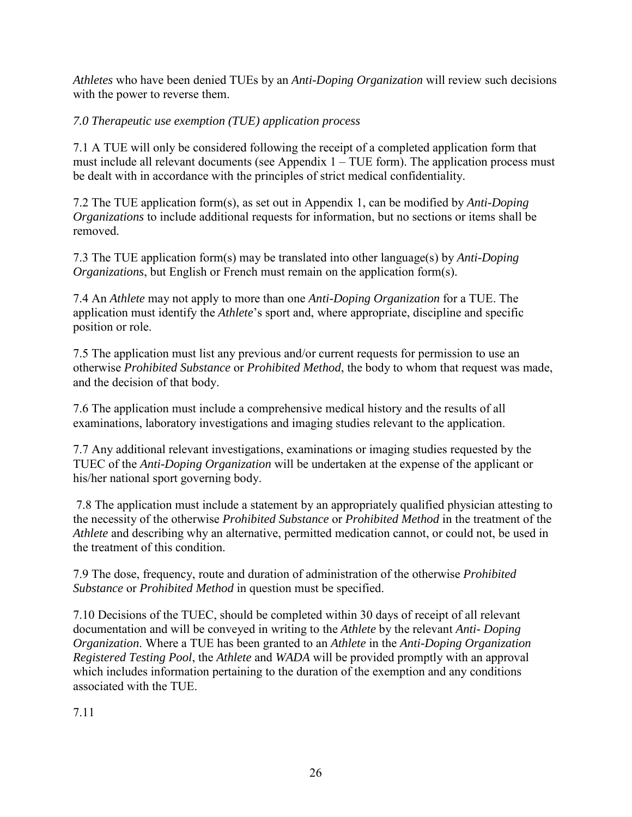*Athletes* who have been denied TUEs by an *Anti-Doping Organization* will review such decisions with the power to reverse them.

# *7.0 Therapeutic use exemption (TUE) application process*

7.1 A TUE will only be considered following the receipt of a completed application form that must include all relevant documents (see Appendix  $1 - TUE$  form). The application process must be dealt with in accordance with the principles of strict medical confidentiality.

7.2 The TUE application form(s), as set out in Appendix 1, can be modified by *Anti-Doping Organizations* to include additional requests for information, but no sections or items shall be removed.

7.3 The TUE application form(s) may be translated into other language(s) by *Anti-Doping Organizations*, but English or French must remain on the application form(s).

7.4 An *Athlete* may not apply to more than one *Anti-Doping Organization* for a TUE. The application must identify the *Athlete*'s sport and, where appropriate, discipline and specific position or role.

7.5 The application must list any previous and/or current requests for permission to use an otherwise *Prohibited Substance* or *Prohibited Method*, the body to whom that request was made, and the decision of that body.

7.6 The application must include a comprehensive medical history and the results of all examinations, laboratory investigations and imaging studies relevant to the application.

7.7 Any additional relevant investigations, examinations or imaging studies requested by the TUEC of the *Anti-Doping Organization* will be undertaken at the expense of the applicant or his/her national sport governing body.

 7.8 The application must include a statement by an appropriately qualified physician attesting to the necessity of the otherwise *Prohibited Substance* or *Prohibited Method* in the treatment of the *Athlete* and describing why an alternative, permitted medication cannot, or could not, be used in the treatment of this condition.

7.9 The dose, frequency, route and duration of administration of the otherwise *Prohibited Substance* or *Prohibited Method* in question must be specified.

7.10 Decisions of the TUEC, should be completed within 30 days of receipt of all relevant documentation and will be conveyed in writing to the *Athlete* by the relevant *Anti- Doping Organization*. Where a TUE has been granted to an *Athlete* in the *Anti-Doping Organization Registered Testing Pool*, the *Athlete* and *WADA* will be provided promptly with an approval which includes information pertaining to the duration of the exemption and any conditions associated with the TUE.

7.11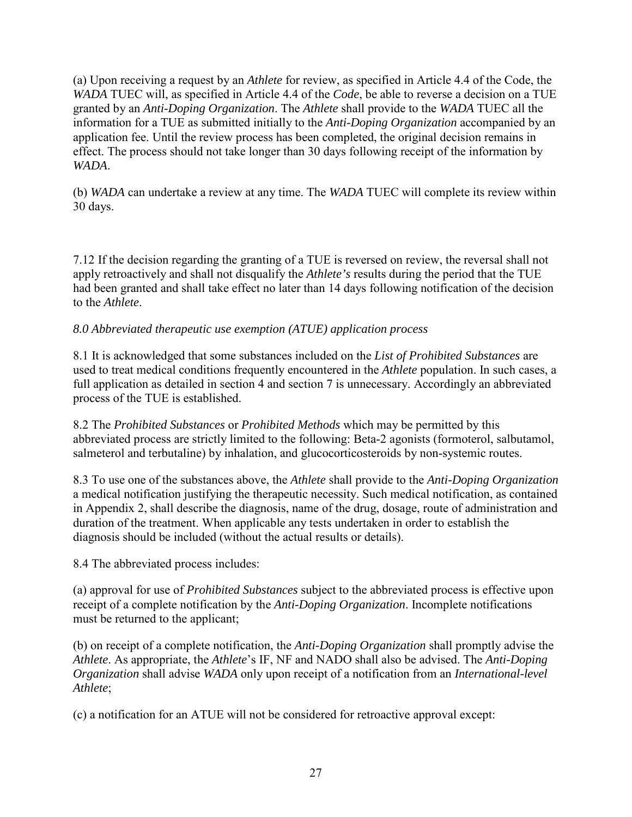(a) Upon receiving a request by an *Athlete* for review, as specified in Article 4.4 of the Code, the *WADA* TUEC will, as specified in Article 4.4 of the *Code*, be able to reverse a decision on a TUE granted by an *Anti-Doping Organization*. The *Athlete* shall provide to the *WADA* TUEC all the information for a TUE as submitted initially to the *Anti-Doping Organization* accompanied by an application fee. Until the review process has been completed, the original decision remains in effect. The process should not take longer than 30 days following receipt of the information by *WADA*.

(b) *WADA* can undertake a review at any time. The *WADA* TUEC will complete its review within 30 days.

7.12 If the decision regarding the granting of a TUE is reversed on review, the reversal shall not apply retroactively and shall not disqualify the *Athlete's* results during the period that the TUE had been granted and shall take effect no later than 14 days following notification of the decision to the *Athlete*.

## *8.0 Abbreviated therapeutic use exemption (ATUE) application process*

8.1 It is acknowledged that some substances included on the *List of Prohibited Substances* are used to treat medical conditions frequently encountered in the *Athlete* population. In such cases, a full application as detailed in section 4 and section 7 is unnecessary. Accordingly an abbreviated process of the TUE is established.

8.2 The *Prohibited Substances* or *Prohibited Methods* which may be permitted by this abbreviated process are strictly limited to the following: Beta-2 agonists (formoterol, salbutamol, salmeterol and terbutaline) by inhalation, and glucocorticosteroids by non-systemic routes.

8.3 To use one of the substances above, the *Athlete* shall provide to the *Anti-Doping Organization*  a medical notification justifying the therapeutic necessity. Such medical notification, as contained in Appendix 2, shall describe the diagnosis, name of the drug, dosage, route of administration and duration of the treatment. When applicable any tests undertaken in order to establish the diagnosis should be included (without the actual results or details).

8.4 The abbreviated process includes:

(a) approval for use of *Prohibited Substances* subject to the abbreviated process is effective upon receipt of a complete notification by the *Anti-Doping Organization*. Incomplete notifications must be returned to the applicant;

(b) on receipt of a complete notification, the *Anti-Doping Organization* shall promptly advise the *Athlete*. As appropriate, the *Athlete*'s IF, NF and NADO shall also be advised. The *Anti-Doping Organization* shall advise *WADA* only upon receipt of a notification from an *International-level Athlete*;

(c) a notification for an ATUE will not be considered for retroactive approval except: